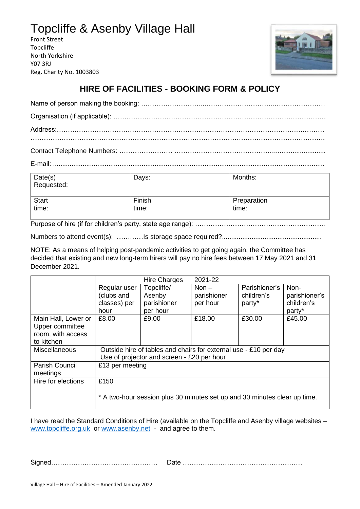## Topcliffe & Asenby Village Hall

Front Street Topcliffe North Yorkshire Y07 3RJ Reg. Charity No. 1003803



## **HIRE OF FACILITIES - BOOKING FORM & POLICY**

Contact Telephone Numbers: …………………… ………………………………………............................

E-mail: ...................................................................................................................................................

| Date(s)<br>Requested: | Days:  | Months:     |
|-----------------------|--------|-------------|
| <b>Start</b>          | Finish | Preparation |
| time:                 | time:  | time:       |

Purpose of hire (if for children's party, state age range): ……………………………………………………

Numbers to attend event(s): …………Is storage space required?......................................................

NOTE: As a means of helping post-pandemic activities to get going again, the Committee has decided that existing and new long-term hirers will pay no hire fees between 17 May 2021 and 31 December 2021.

|                       |                                                                           | <b>Hire Charges</b> | 2021-22     |               |               |  |
|-----------------------|---------------------------------------------------------------------------|---------------------|-------------|---------------|---------------|--|
|                       | Regular user                                                              | Topcliffe/          | Non $-$     | Parishioner's | Non-          |  |
|                       | (clubs and                                                                | Asenby              | parishioner | children's    | parishioner's |  |
|                       | classes) per                                                              | parishioner         | per hour    | party*        | children's    |  |
|                       | hour                                                                      | per hour            |             |               | party*        |  |
| Main Hall, Lower or   | £8.00                                                                     | £9.00               | £18.00      | £30.00        | £45.00        |  |
| Upper committee       |                                                                           |                     |             |               |               |  |
| room, with access     |                                                                           |                     |             |               |               |  |
| to kitchen            |                                                                           |                     |             |               |               |  |
| <b>Miscellaneous</b>  | Outside hire of tables and chairs for external use - £10 per day          |                     |             |               |               |  |
|                       | Use of projector and screen - £20 per hour                                |                     |             |               |               |  |
| <b>Parish Council</b> | £13 per meeting                                                           |                     |             |               |               |  |
| meetings              |                                                                           |                     |             |               |               |  |
| Hire for elections    | £150                                                                      |                     |             |               |               |  |
|                       |                                                                           |                     |             |               |               |  |
|                       | * A two-hour session plus 30 minutes set up and 30 minutes clear up time. |                     |             |               |               |  |
|                       |                                                                           |                     |             |               |               |  |

I have read the Standard Conditions of Hire (available on the Topcliffe and Asenby village websites – [www.topcliffe.o](http://www.topcliffe./)rg.uk or [www.asenby.net](http://www.asenby.net/) - and agree to them.

Signed………………………………………… Date ………………………………………………